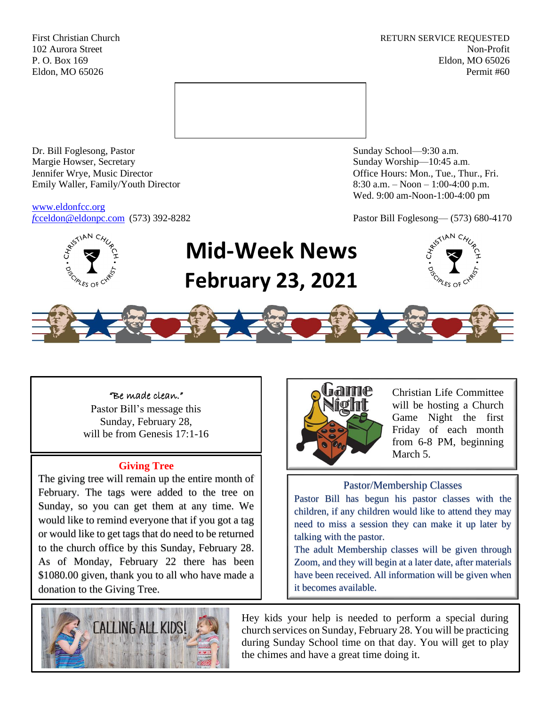First Christian Church **RETURN SERVICE REQUESTED** 102 Aurora Street Non-Profit P. O. Box 169 Eldon, MO 65026 Eldon, MO 65026 Permit #60



Dr. Bill Foglesong, Pastor Sunday School—9:30 a.m. Margie Howser, Secretary Sunday Worship—10:45 a.m. Jennifer Wrye, Music Director Office Hours: Mon., Tue., Thur., Fri. Emily Waller, Family/Youth Director 8:30 a.m. – Noon – 1:00-4:00 p.m.

[www.eldonfcc.org](http://www.eldonfcc.org/)

Wed. 9:00 am-Noon-1:00-4:00 pm

*f*[cceldon@eldonpc.com](mailto:fcceldon@eldonpc.com) (573) 392-8282 Pastor Bill Foglesong— (573) 680-4170



# **Mid-Week News February 23, 2021**





"Be made clean." Pastor Bill's message this Sunday, February 28, will be from Genesis 17:1-16

#### **Giving Tree**

The giving tree will remain up the entire month of February. The tags were added to the tree on Sunday, so you can get them at any time. We would like to remind everyone that if you got a tag or would like to get tags that do need to be returned to the church office by this Sunday, February 28. As of Monday, February 22 there has been \$1080.00 given, thank you to all who have made a donation to the Giving Tree.





Christian Life Committee will be hosting a Church Game Night the first Friday of each month from 6-8 PM, beginning March 5.

## Pastor/Membership Classes

Pastor Bill has begun his pastor classes with the children, if any children would like to attend they may need to miss a session they can make it up later by talking with the pastor.

The adult Membership classes will be given through Zoom, and they will begin at a later date, after materials have been received. All information will be given when it becomes available.

Hey kids your help is needed to perform a special during church services on Sunday, February 28. You will be practicing during Sunday School time on that day. You will get to play the chimes and have a great time doing it.